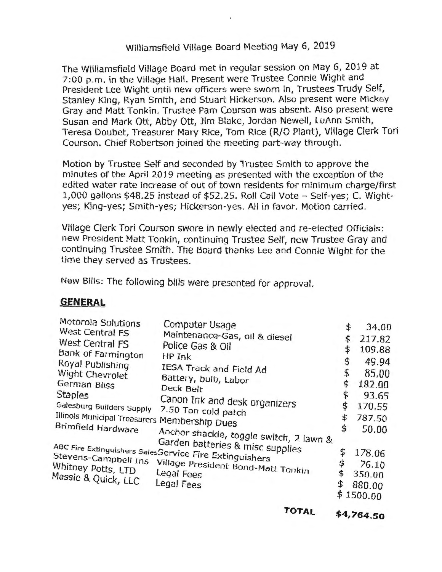# Williamsfield Village Board Meeting May 6, 2019

The Williamsfield Village Board met in regular session on May 6, 2019 at 7:00 p.m. in the Village Hall. Present were Trustee Connie Wight and President Lee Wight until new officers were sworn in, Trustees Trudy Self, Stanley King, Ryan Smith, and Stuart Hickerson. Also present were Mickey Gray and Matt Tonkin. Trustee Pam Courson was absent. Also present were Susan and Mark Ott, Abby Ott, Jim Blake, Jordan Newell, LuAnn Smith, Teresa Doubet, Treasurer Mary Rice, Tom Rice (R/O Plant), Village Clerk Tori Courson. Chief Robertson joined the meeting part-way through.

Motion by Trustee Self and seconded by Trustee Smith to approve the minutes of the April 2019 meeting as presented with the exception of the edited water rate increase of out of town residents for minimum charge/first 1,000 gallons \$48.25 instead of \$52.25. Roll Call Vote - Self-yes; C. Wightyes; King-yes; Smith-yes; Hickerson-yes. All in favor. Motion carried.

Village Clerk Tori Courson swore in newly elected and re-elected Officials: new President Matt Tonkin, continuing Trustee Self, new Trustee Gray and continuing Trustee Smith. The Board thanks Lee and Connie Wight for the time they served as Trustees.

New Bills: The following bills were presented for approval.

## **GENERAL**

| Motorola Solutions<br>West Central FS<br>West Central FS<br>Bank of Farmington<br>Royal Publishing<br>Wight Chevrolet<br>German Bliss<br><b>Staples</b><br>Galesburg Builders Supply<br>Brimfield Hardware | Computer Usage<br>Maintenance-Gas, oil & diesel<br>Police Gas & Oil<br>HP Ink<br>IESA Track and Field Ad<br>Battery, bulb, Labor<br>Deck Belt<br>Canon Ink and desk organizers<br>7.50 Ton cold patch<br>Anchor shackle, toggle switch, 2 lawn & | \$<br>\$<br>\$<br>\$<br>\$<br>\$<br>\$<br>\$<br>\$ | 34.00<br>217.82<br>109.88<br>49.94<br>85.00<br>182.00<br>93.65<br>170.55<br>787.50<br>50.00 |
|------------------------------------------------------------------------------------------------------------------------------------------------------------------------------------------------------------|--------------------------------------------------------------------------------------------------------------------------------------------------------------------------------------------------------------------------------------------------|----------------------------------------------------|---------------------------------------------------------------------------------------------|
| Illinois Municipal Treasurers Membership Dues<br>ABC Fire Extinguishers SalesService Fire Extinguishers<br>Stevens-Campbell Ins<br>Whitney Potts, LTD<br>Legal Fees<br>Massie & Quick, LLC<br>Legal Fees   | Garden batteries & misc supplies<br>Village President Bond-Matt Tonkin                                                                                                                                                                           | \$<br>\$<br>\$                                     | 178.06<br>76.10<br>350.00<br>880.00<br>1500.00                                              |

**TOTAL \$[4,764.50](https://4,764.50)**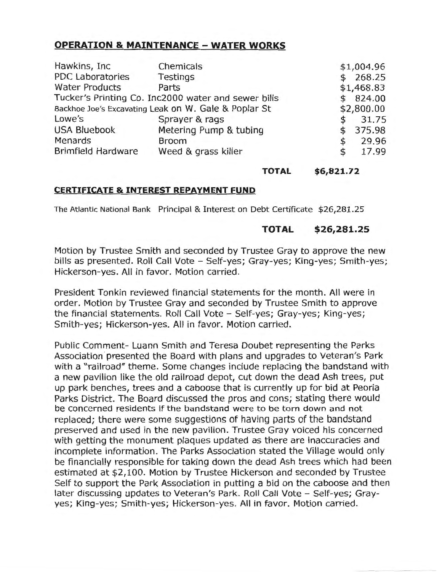## **OPERATION & MAINTENANCE - WATER WORKS**

| Hawkins, Inc.                                        | Chemicals              |    | \$1,004.96 |
|------------------------------------------------------|------------------------|----|------------|
| PDC Laboratories                                     | Testings               |    | 268.25     |
| <b>Water Products</b>                                | Parts                  |    | \$1,468.83 |
| Tucker's Printing Co. Inc2000 water and sewer bills  |                        |    | 824.00     |
| Backhoe Joe's Excavating Leak on W. Gale & Poplar St |                        |    | \$2,800.00 |
| Lowe's                                               | Sprayer & rags         | \$ | 31.75      |
| <b>USA Bluebook</b>                                  | Metering Pump & tubing | \$ | 375.98     |
| Menards                                              | <b>Broom</b>           | \$ | 29.96      |
| <b>Brimfield Hardware</b>                            | Weed & grass killer    | \$ | 17.99      |

#### **TOTAL \$6,821.72**

## **CERTIFICATE & INTEREST REPAYMENT FUND**

The Atlantic National Bank Principal & Interest on Debt Certificate \$[26,281.25](https://26,281.25)

## **TOTAL \$[26,281.25](https://26,281.25)**

Motion by Trustee Smith and seconded by Trustee Gray to approve the new bills as presented. Roll Call Vote - Self-yes; Gray-yes; King-yes; Smith-yes; Hickerson-yes. All in favor. Motion carried.

President Tonkin reviewed financial statements for the month. All were in order. Motion by Trustee Gray and seconded by Trustee Smith to approve the financial statements. Roll Call Vote - Self-yes; Gray-yes; King-yes; Smith-yes; Hickerson-yes. All in favor. Motion carried.

Public Comment- Luann Smith and Teresa Doubet representing the Parks Association presented the Board with plans and upgrades to Veteran's Park with a "railroad" theme. Some changes include replacing the bandstand with a new pavilion like the old railroad depot, cut down the dead Ash trees, put up park benches, trees and a caboose that is currently up for bid at Peoria Parks District. The Board discussed the pros and cons; stating there would be concerned residents if the bandstand were to be torn down and not replaced; there were some suggestions of having parts of the bandstand preserved and used in the new pavilion. Trustee Gray voiced his concerned with getting the monument plaques updated as there are inaccuracies and incomplete information. The Parks Association stated the Village would only be financially responsible for taking down the dead Ash trees which had been estimated at \$2,100. Motion by Trustee Hickerson and seconded by Trustee Self to support the Park Association in putting a bid on the caboose and then later discussing updates to Veteran's Park. Roll Call Vote - Self-yes; Grayyes; King-yes; Smith-yes; Hickerson-yes. All in favor. Motion carried.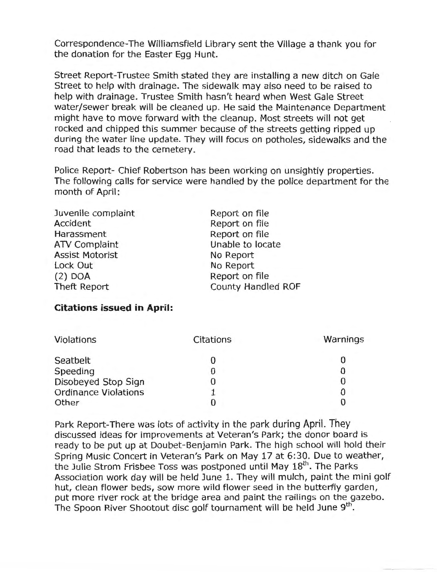Correspondence-The Williamsfield Library sent the Village a thank you for the donation for the Easter Egg Hunt.

Street Report-Trustee Smith stated they are installing a new ditch on Gale Street to help with drainage. The sidewalk may also need to be raised to help with drainage. Trustee Smith hasn't heard when West Gale Street water/sewer break will be cleaned up. He said the Maintenance Department might have to move forward with the cleanup. Most streets will not get rocked and chipped this summer because of the streets getting ripped up during the water line update. They will focus on potholes, sidewalks and the road that leads to the cemetery.

Police Report- Chief Robertson has been working on unsightly properties. The following calls for service were handled by the police department for the month of April:

| Juvenile complaint     | Report on file     |  |  |
|------------------------|--------------------|--|--|
| Accident               | Report on file     |  |  |
| Harassment             | Report on file     |  |  |
| <b>ATV Complaint</b>   | Unable to locate   |  |  |
| <b>Assist Motorist</b> | No Report          |  |  |
| Lock Out               | No Report          |  |  |
| $(2)$ DOA              | Report on file     |  |  |
| Theft Report           | County Handled ROF |  |  |
|                        |                    |  |  |

#### **Citations issued in April:**

| Violations                  | Citations | Warnings |
|-----------------------------|-----------|----------|
| Seatbelt                    |           |          |
| Speeding                    |           |          |
| Disobeyed Stop Sign         |           |          |
| <b>Ordinance Violations</b> |           |          |
| Other                       |           |          |

Park Report-There was lots of activity in the park during April. They discussed ideas for improvements at Veteran's Park; the donor board is ready to be put up at Doubet-Benjamin Park. The high school will hold their Spring Music Concert in Veteran's Park on May 17 at 6:30. Due to weather, the Julie Strom Frisbee Toss was postponed until May  $18<sup>th</sup>$ . The Parks Association work day will be held June 1. They will mulch, paint the mini golf hut, clean flower beds, sow more wild flower seed in the butterfly garden, put more river rock at the bridge area and paint the railings on the gazebo. The Spoon River Shootout disc golf tournament will be held June 9<sup>th</sup>.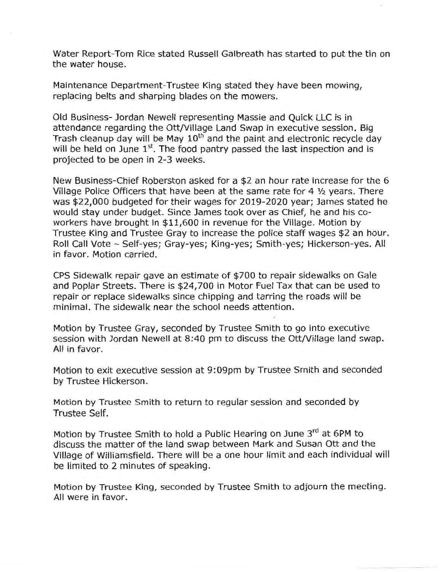Water Report-Tom Rice stated Russell Galbreath has started to put the tin on the water house.

Maintenance Department-Trustee King stated they have been mowing, replacing belts and sharping blades on the mowers.

Old Business- Jordan Newell representing Massie and Quick LLC is in attendance regarding the Ott/Village Land Swap in executive session. Big Trash cleanup day will be May  $10<sup>th</sup>$  and the paint and electronic recycle day will be held on June  $1<sup>st</sup>$ . The food pantry passed the last inspection and is projected to be open in 2-3 weeks.

New Business-Chief Roberston asked for a \$2 an hour rate increase for the 6 Village Police Officers that have been at the same rate for 4 ½ years. There was \$22,000 budgeted for their wages for 2019-2020 year; James stated he would stay under budget. Since James took over as Chief, he and his coworkers have brought in \$11,600 in revenue for the Village. Motion by Trustee King and Trustee Gray to increase the police staff wages \$2 an hour. Roll Call Vote - Self-yes; Gray-yes; King-yes; Smith-yes; Hickerson-yes. All in favor. Motion carried.

CPS Sidewalk repair gave an estimate of \$700 to repair sidewalks on Gale and Poplar Streets. There is \$24,700 in Motor Fuel Tax that can be used to repair or replace sidewalks since chipping and tarring the roads will be minimal. The sidewalk near the school needs attention.

Motion by Trustee Gray, seconded by Trustee Smith to go into executive session with Jordan Newell at 8:40 pm to discuss the Ott/Village land swap. All in favor.

Motion to exit executive session at 9:09pm by Trustee Smith and seconded by Trustee Hickerson.

Motion by Trustee Smith to return to regular session and seconded by Trustee Self.

Motion by Trustee Smith to hold a Public Hearing on June 3rd at 6PM to discuss the matter of the land swap between Mark and Susan Ott and the Village of Williamsfield. There will be a one hour limit and each individual will be limited to 2 minutes of speaking.

Motion by Trustee King, seconded by Trustee Smith to adjourn the meeting. All were in favor.